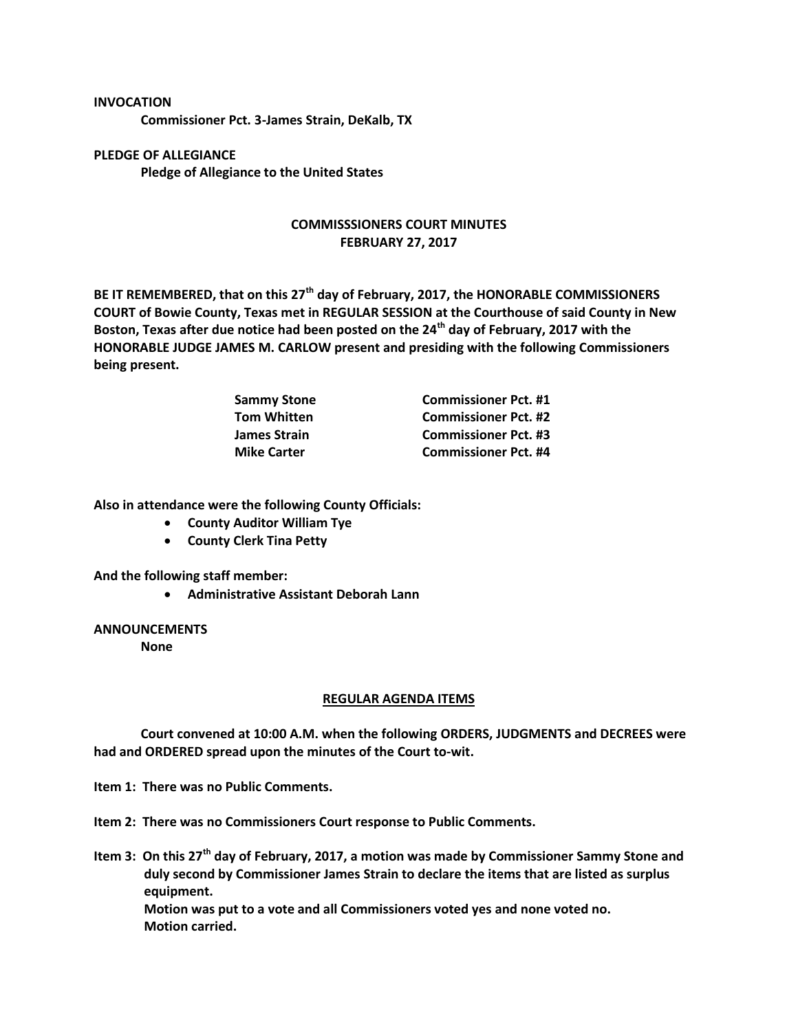## **INVOCATION**

**Commissioner Pct. 3-James Strain, DeKalb, TX**

**PLEDGE OF ALLEGIANCE Pledge of Allegiance to the United States**

## **COMMISSSIONERS COURT MINUTES FEBRUARY 27, 2017**

**BE IT REMEMBERED, that on this 27th day of February, 2017, the HONORABLE COMMISSIONERS COURT of Bowie County, Texas met in REGULAR SESSION at the Courthouse of said County in New Boston, Texas after due notice had been posted on the 24th day of February, 2017 with the HONORABLE JUDGE JAMES M. CARLOW present and presiding with the following Commissioners being present.**

| <b>Sammy Stone</b>  | <b>Commissioner Pct. #1</b> |
|---------------------|-----------------------------|
| <b>Tom Whitten</b>  | <b>Commissioner Pct. #2</b> |
| <b>James Strain</b> | <b>Commissioner Pct. #3</b> |
| <b>Mike Carter</b>  | <b>Commissioner Pct. #4</b> |

**Also in attendance were the following County Officials:**

- **County Auditor William Tye**
- **County Clerk Tina Petty**

**And the following staff member:**

**Administrative Assistant Deborah Lann**

## **ANNOUNCEMENTS**

**None**

## **REGULAR AGENDA ITEMS**

**Court convened at 10:00 A.M. when the following ORDERS, JUDGMENTS and DECREES were had and ORDERED spread upon the minutes of the Court to-wit.**

**Item 1: There was no Public Comments.**

**Item 2: There was no Commissioners Court response to Public Comments.**

**Item 3: On this 27th day of February, 2017, a motion was made by Commissioner Sammy Stone and duly second by Commissioner James Strain to declare the items that are listed as surplus equipment. Motion was put to a vote and all Commissioners voted yes and none voted no. Motion carried.**